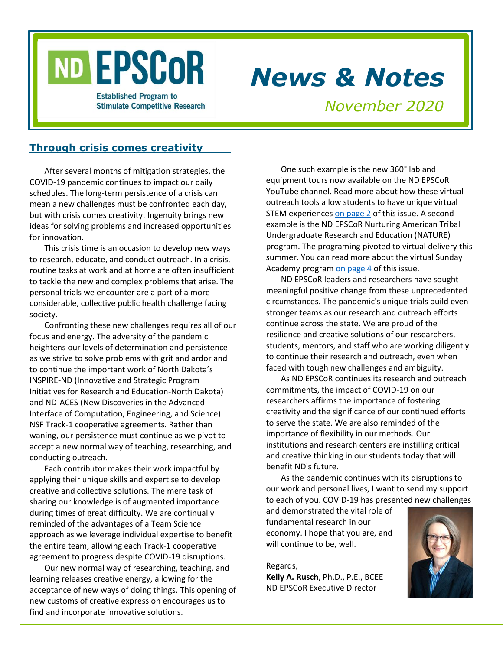# ND EPSCOR

**Established Program to Stimulate Competitive Research** 

# *News & Notes*

*November 2020*

# **Through crisis comes creativity\_\_\_\_**

After several months of mitigation strategies, the COVID-19 pandemic continues to impact our daily schedules. The long-term persistence of a crisis can mean a new challenges must be confronted each day, but with crisis comes creativity. Ingenuity brings new ideas for solving problems and increased opportunities for innovation.

This crisis time is an occasion to develop new ways to research, educate, and conduct outreach. In a crisis, routine tasks at work and at home are often insufficient to tackle the new and complex problems that arise. The personal trials we encounter are a part of a more considerable, collective public health challenge facing society.

Confronting these new challenges requires all of our focus and energy. The adversity of the pandemic heightens our levels of determination and persistence as we strive to solve problems with grit and ardor and to continue the important work of North Dakota's INSPIRE-ND (Innovative and Strategic Program Initiatives for Research and Education-North Dakota) and ND-ACES (New Discoveries in the Advanced Interface of Computation, Engineering, and Science) NSF Track-1 cooperative agreements. Rather than waning, our persistence must continue as we pivot to accept a new normal way of teaching, researching, and conducting outreach.

Each contributor makes their work impactful by applying their unique skills and expertise to develop creative and collective solutions. The mere task of sharing our knowledge is of augmented importance during times of great difficulty. We are continually reminded of the advantages of a Team Science approach as we leverage individual expertise to benefit the entire team, allowing each Track-1 cooperative agreement to progress despite COVID-19 disruptions.

Our new normal way of researching, teaching, and learning releases creative energy, allowing for the acceptance of new ways of doing things. This opening of new customs of creative expression encourages us to find and incorporate innovative solutions.

One such example is the new 360° lab and equipment tours now available on the ND EPSCoR YouTube channel. Read more about how these virtual outreach tools allow students to have unique virtual STEM experience[s on page 2](#page-1-0) of this issue. A second example is the ND EPSCoR Nurturing American Tribal Undergraduate Research and Education (NATURE) program. The programing pivoted to virtual delivery this summer. You can read more about the virtual Sunday Academy program [on page 4](#page-3-0) of this issue.

ND EPSCoR leaders and researchers have sought meaningful positive change from these unprecedented circumstances. The pandemic's unique trials build even stronger teams as our research and outreach efforts continue across the state. We are proud of the resilience and creative solutions of our researchers, students, mentors, and staff who are working diligently to continue their research and outreach, even when faced with tough new challenges and ambiguity.

As ND EPSCoR continues its research and outreach commitments, the impact of COVID-19 on our researchers affirms the importance of fostering creativity and the significance of our continued efforts to serve the state. We are also reminded of the importance of flexibility in our methods. Our institutions and research centers are instilling critical and creative thinking in our students today that will benefit ND's future.

As the pandemic continues with its disruptions to our work and personal lives, I want to send my support to each of you. COVID-19 has presented new challenges

and demonstrated the vital role of fundamental research in our economy. I hope that you are, and will continue to be, well.

Regards, **Kelly A. Rusch**, Ph.D., P.E., BCEE ND EPSCoR Executive Director

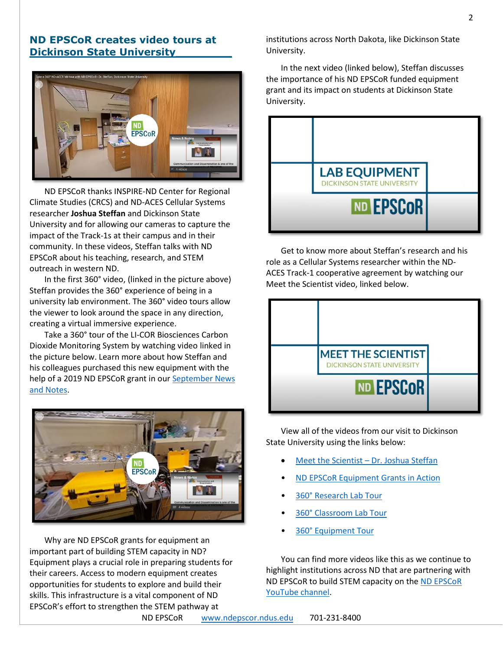## <span id="page-1-0"></span>**ND EPSCoR creates video tours at Dickinson State University\_\_\_\_\_\_\_\_**



ND EPSCoR thanks INSPIRE-ND Center for Regional Climate Studies (CRCS) and ND-ACES Cellular Systems researcher **Joshua Steffan** and Dickinson State University and for allowing our cameras to capture the impact of the Track-1s at their campus and in their community. In these videos, Steffan talks with ND EPSCoR about his teaching, research, and STEM outreach in western ND.

In the first 360° video, (linked in the picture above) Steffan provides the 360° experience of being in a university lab environment. The 360° video tours allow the viewer to look around the space in any direction, creating a virtual immersive experience.

Take a 360° tour of the LI-COR Biosciences Carbon Dioxide Monitoring System by watching video linked in the picture below. Learn more about how Steffan and his colleagues purchased this new equipment with the help of a 2019 ND EPSCoR grant in our September News [and Notes.](https://www.ndepscor.ndus.edu/fileadmin/ndus/ndepscor/News_and_Notes_Newsletters/News_and_Notes_Newsletter_2020_September.pdf)



Why are ND EPSCoR grants for equipment an important part of building STEM capacity in ND? Equipment plays a crucial role in preparing students for their careers. Access to modern equipment creates opportunities for students to explore and build their skills. This infrastructure is a vital component of ND EPSCoR's effort to strengthen the STEM pathway at

institutions across North Dakota, like Dickinson State University.

In the next video (linked below), Steffan discusses the importance of his ND EPSCoR funded equipment grant and its impact on students at Dickinson State University.



Get to know more about Steffan's research and his role as a Cellular Systems researcher within the ND-ACES Track-1 cooperative agreement by watching our Meet the Scientist video, linked below.



View all of the videos from our visit to Dickinson State University using the links below:

- [Meet the Scientist](https://youtu.be/2oCJFrXGkTw)  Dr. Joshua Steffan
- [ND EPSCoR Equipment Grants in Action](https://www.youtube.com/watch?v=UapXOMx7tf4&feature=youtu.be)
- [360° Research Lab Tour](https://youtu.be/7ssz6ZeMiiA)
- [360° Classroom Lab Tour](https://youtu.be/Q_8pIChrYn8)
- [360° Equipment Tour](https://youtu.be/powq4earHXs)

You can find more videos like this as we continue to highlight institutions across ND that are partnering with ND EPSCoR to build STEM capacity on the ND [EPSCoR](https://bit.ly/ndepscorchannel) [YouTube channel.](https://bit.ly/ndepscorchannel)

ND EPSCoR [www.ndepscor.ndus.edu](http://www.ndepscor.ndus.edu/) 701-231-8400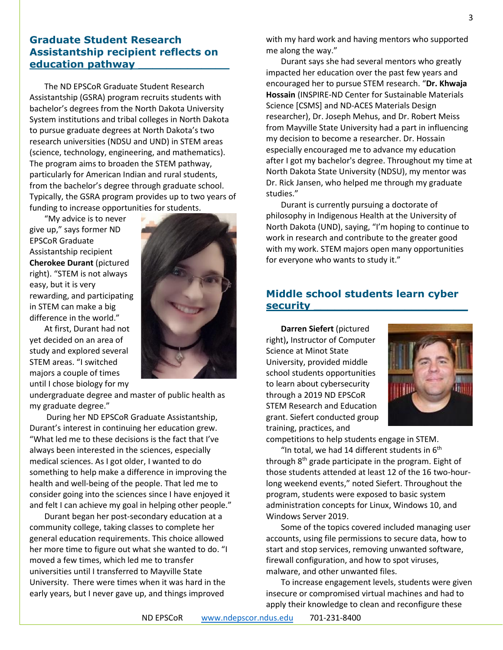# **Graduate Student Research Assistantship recipient reflects on education pathway \_\_\_\_\_\_\_\_\_\_\_\_\_**

The ND EPSCoR Graduate Student Research Assistantship (GSRA) program recruits students with bachelor's degrees from the North Dakota University System institutions and tribal colleges in North Dakota to pursue graduate degrees at North Dakota's two research universities (NDSU and UND) in STEM areas (science, technology, engineering, and mathematics). The program aims to broaden the STEM pathway, particularly for American Indian and rural students, from the bachelor's degree through graduate school. Typically, the GSRA program provides up to two years of funding to increase opportunities for students.

"My advice is to never give up," says former ND EPSCoR Graduate Assistantship recipient **Cherokee Durant** (pictured right). "STEM is not always easy, but it is very rewarding, and participating in STEM can make a big difference in the world."

At first, Durant had not yet decided on an area of study and explored several STEM areas. "I switched majors a couple of times until I chose biology for my



undergraduate degree and master of public health as my graduate degree."

During her ND EPSCoR Graduate Assistantship, Durant's interest in continuing her education grew. "What led me to these decisions is the fact that I've always been interested in the sciences, especially medical sciences. As I got older, I wanted to do something to help make a difference in improving the health and well-being of the people. That led me to consider going into the sciences since I have enjoyed it and felt I can achieve my goal in helping other people."

Durant began her post-secondary education at a community college, taking classes to complete her general education requirements. This choice allowed her more time to figure out what she wanted to do. "I moved a few times, which led me to transfer universities until I transferred to Mayville State University. There were times when it was hard in the early years, but I never gave up, and things improved

with my hard work and having mentors who supported me along the way."

Durant says she had several mentors who greatly impacted her education over the past few years and encouraged her to pursue STEM research. "**Dr. Khwaja Hossain** (INSPIRE-ND Center for Sustainable Materials Science [CSMS] and ND-ACES Materials Design researcher), Dr. Joseph Mehus, and Dr. Robert Meiss from Mayville State University had a part in influencing my decision to become a researcher. Dr. Hossain especially encouraged me to advance my education after I got my bachelor's degree. Throughout my time at North Dakota State University (NDSU), my mentor was Dr. Rick Jansen, who helped me through my graduate studies."

Durant is currently pursuing a doctorate of philosophy in Indigenous Health at the University of North Dakota (UND), saying, "I'm hoping to continue to work in research and contribute to the greater good with my work. STEM majors open many opportunities for everyone who wants to study it."

# **Middle school students learn cyber security \_\_\_\_\_\_\_\_\_\_\_\_\_\_\_\_\_\_\_\_\_\_**

**Darren Siefert** (pictured right)**,** Instructor of Computer Science at Minot State University, provided middle school students opportunities to learn about cybersecurity through a 2019 ND EPSCoR STEM Research and Education grant. Siefert conducted group training, practices, and



competitions to help students engage in STEM.

"In total, we had 14 different students in  $6<sup>th</sup>$ through 8<sup>th</sup> grade participate in the program. Eight of those students attended at least 12 of the 16 two-hourlong weekend events," noted Siefert. Throughout the program, students were exposed to basic system administration concepts for Linux, Windows 10, and Windows Server 2019.

Some of the topics covered included managing user accounts, using file permissions to secure data, how to start and stop services, removing unwanted software, firewall configuration, and how to spot viruses, malware, and other unwanted files.

To increase engagement levels, students were given insecure or compromised virtual machines and had to apply their knowledge to clean and reconfigure these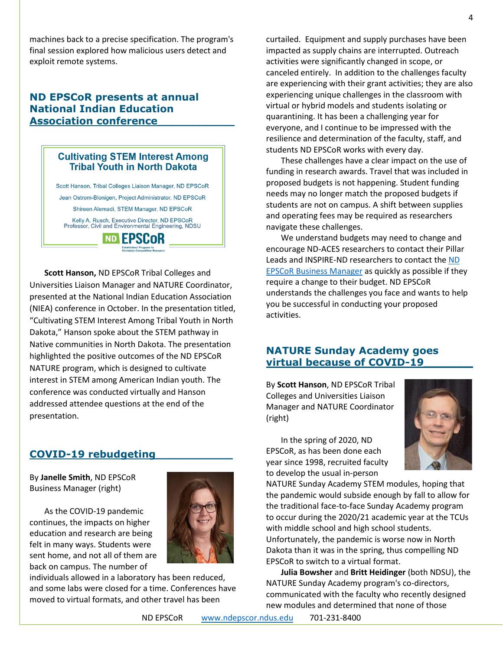machines back to a precise specification. The program's final session explored how malicious users detect and exploit remote systems.

# **ND EPSCoR presents at annual National Indian Education Association conference\_\_\_\_\_\_\_\_\_\_\_**

### **Cultivating STEM Interest Among Tribal Youth in North Dakota**

Scott Hanson, Tribal Colleges Liaison Manager, ND EPSCoR Jean Ostrom-Blonigen, Project Administrator, ND EPSCoR Shireen Alemadi, STEM Manager, ND EPSCoR Kelly A. Rusch, Executive Director, ND EPSCoR<br>Professor, Civil and Environmental Engineering, NDSU

**ND EPSCOR** 

**Scott Hanson,** ND EPSCoR Tribal Colleges and Universities Liaison Manager and NATURE Coordinator, presented at the National Indian Education Association (NIEA) conference in October. In the presentation titled, "Cultivating STEM Interest Among Tribal Youth in North Dakota," Hanson spoke about the STEM pathway in Native communities in North Dakota. The presentation highlighted the positive outcomes of the ND EPSCoR NATURE program, which is designed to cultivate interest in STEM among American Indian youth. The conference was conducted virtually and Hanson addressed attendee questions at the end of the presentation.

# **COVID-19 rebudgeting\_\_\_\_\_\_\_\_\_\_\_**

By **Janelle Smith**, ND EPSCoR Business Manager (right)

As the COVID-19 pandemic continues, the impacts on higher education and research are being felt in many ways. Students were sent home, and not all of them are back on campus. The number of



individuals allowed in a laboratory has been reduced, and some labs were closed for a time. Conferences have moved to virtual formats, and other travel has been



These challenges have a clear impact on the use of funding in research awards. Travel that was included in proposed budgets is not happening. Student funding needs may no longer match the proposed budgets if students are not on campus. A shift between supplies and operating fees may be required as researchers navigate these challenges.

We understand budgets may need to change and encourage ND-ACES researchers to contact their Pillar Leads and INSPIRE-ND researchers to contact the [ND](mailto:janelle.smith@ndus.edu)  [EPSCoR Business Manager](mailto:janelle.smith@ndus.edu) as quickly as possible if they require a change to their budget. ND EPSCoR understands the challenges you face and wants to help you be successful in conducting your proposed activities.

# <span id="page-3-0"></span>**NATURE Sunday Academy goes virtual because of COVID-19\_\_\_\_\_\_\_**

By **Scott Hanson**, ND EPSCoR Tribal Colleges and Universities Liaison Manager and NATURE Coordinator (right)

In the spring of 2020, ND EPSCoR, as has been done each year since 1998, recruited faculty to develop the usual in-person



NATURE Sunday Academy STEM modules, hoping that the pandemic would subside enough by fall to allow for the traditional face-to-face Sunday Academy program to occur during the 2020/21 academic year at the TCUs with middle school and high school students. Unfortunately, the pandemic is worse now in North Dakota than it was in the spring, thus compelling ND EPSCoR to switch to a virtual format.

**Julia Bowsher** and **Britt Heidinger** (both NDSU), the NATURE Sunday Academy program's co-directors, communicated with the faculty who recently designed new modules and determined that none of those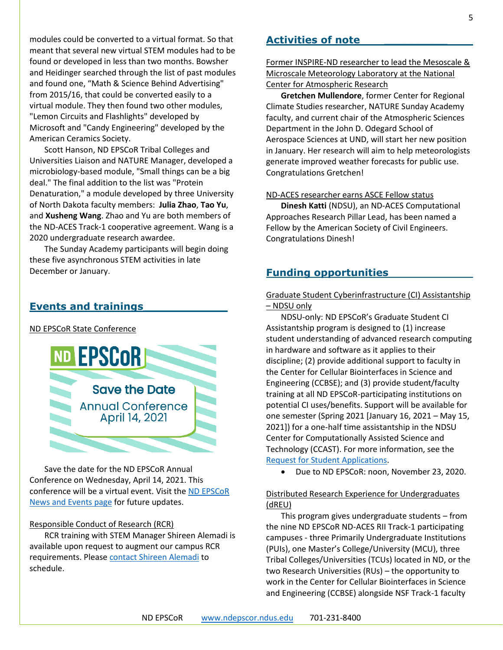modules could be converted to a virtual format. So that meant that several new virtual STEM modules had to be found or developed in less than two months. Bowsher and Heidinger searched through the list of past modules and found one, "Math & Science Behind Advertising" from 2015/16, that could be converted easily to a virtual module. They then found two other modules, "Lemon Circuits and Flashlights" developed by Microsoft and "Candy Engineering" developed by the American Ceramics Society.

Scott Hanson, ND EPSCoR Tribal Colleges and Universities Liaison and NATURE Manager, developed a microbiology-based module, "Small things can be a big deal." The final addition to the list was "Protein Denaturation," a module developed by three University of North Dakota faculty members: **Julia Zhao**, **Tao Yu**, and **Xusheng Wang**. Zhao and Yu are both members of the ND-ACES Track-1 cooperative agreement. Wang is a 2020 undergraduate research awardee.

The Sunday Academy participants will begin doing these five asynchronous STEM activities in late December or January.

# **Events and trainings\_\_\_\_\_\_\_\_\_\_\_\_**

#### ND EPSCoR State Conference



Save the date for the ND EPSCoR Annual Conference on Wednesday, April 14, 2021. This conference will be a virtual event. Visit the [ND EPSCoR](https://www.ndepscor.ndus.edu/news/)  [News and Events page](https://www.ndepscor.ndus.edu/news/) for future updates.

#### Responsible Conduct of Research (RCR)

RCR training with STEM Manager Shireen Alemadi is available upon request to augment our campus RCR requirements. Please [contact Shireen Alemadi](mailto:shireen.alemadi@ndus.edu) to schedule.

#### **Activities of note \_\_\_\_\_\_\_\_\_**

Former INSPIRE-ND researcher to lead the Mesoscale & Microscale Meteorology Laboratory at the National Center for Atmospheric Research

**Gretchen Mullendore**, former Center for Regional Climate Studies researcher, NATURE Sunday Academy faculty, and current chair of the Atmospheric Sciences Department in the John D. Odegard School of Aerospace Sciences at UND, will start her new position in January. Her research will aim to help meteorologists generate improved weather forecasts for public use. Congratulations Gretchen!

#### ND-ACES researcher earns ASCE Fellow status

**Dinesh Katti** (NDSU), an ND-ACES Computational Approaches Research Pillar Lead, has been named a Fellow by the American Society of Civil Engineers. Congratulations Dinesh!

#### **Funding opportunities**

Graduate Student Cyberinfrastructure (CI) Assistantship – NDSU only

NDSU-only: ND EPSCoR's Graduate Student CI Assistantship program is designed to (1) increase student understanding of advanced research computing in hardware and software as it applies to their discipline; (2) provide additional support to faculty in the Center for Cellular Biointerfaces in Science and Engineering (CCBSE); and (3) provide student/faculty training at all ND EPSCoR-participating institutions on potential CI uses/benefits. Support will be available for one semester (Spring 2021 [January 16, 2021 – May 15, 2021]) for a one-half time assistantship in the NDSU Center for Computationally Assisted Science and Technology (CCAST). For more information, see the [Request for Student Applications.](https://www.ndepscor.ndus.edu/fileadmin/ndus/ndepscor/CI/NDSUCIGRAsRFA2021.pdf)

• Due to ND EPSCoR: noon, November 23, 2020.

#### Distributed Research Experience for Undergraduates (dREU)

This program gives undergraduate students – from the nine ND EPSCoR ND-ACES RII Track-1 participating campuses - three Primarily Undergraduate Institutions (PUIs), one Master's College/University (MCU), three Tribal Colleges/Universities (TCUs) located in ND, or the two Research Universities (RUs) – the opportunity to work in the Center for Cellular Biointerfaces in Science and Engineering (CCBSE) alongside NSF Track-1 faculty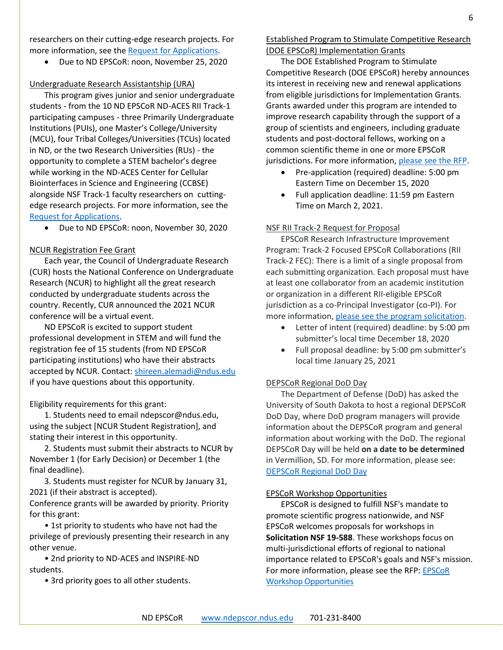researchers on their cutting-edge research projects. For more information, see the [Request for Applications.](https://www.ndepscor.ndus.edu/fileadmin/ndus/ndepscor/REU/2021REURFAfinal.pdf)

• Due to ND EPSCoR: noon, November 25, 2020

#### Undergraduate Research Assistantship (URA)

This program gives junior and senior undergraduate students - from the 10 ND EPSCoR ND-ACES RII Track-1 participating campuses - three Primarily Undergraduate Institutions (PUIs), one Master's College/University (MCU), four Tribal Colleges/Universities (TCUs) located in ND, or the two Research Universities (RUs) - the opportunity to complete a STEM bachelor's degree while working in the ND-ACES Center for Cellular Biointerfaces in Science and Engineering (CCBSE) alongside NSF Track-1 faculty researchers on cuttingedge research projects. For more information, see the [Request for Applications.](https://www.ndepscor.ndus.edu/fileadmin/ndus/ndepscor/Undergraduate_Research_Assistantship/URA_2021.22RFA.pdf)

• Due to ND EPSCoR: noon, November 30, 2020

#### NCUR Registration Fee Grant

Each year, the Council of Undergraduate Research (CUR) hosts the National Conference on Undergraduate Research (NCUR) to highlight all the great research conducted by undergraduate students across the country. Recently, CUR announced the 2021 NCUR conference will be a virtual event.

ND EPSCoR is excited to support student professional development in STEM and will fund the registration fee of 15 students (from ND EPSCoR participating institutions) who have their abstracts accepted by NCUR. Contact: [shireen.alemadi@ndus.edu](mailto:shireen.alemadi@ndus.edu) if you have questions about this opportunity.

Eligibility requirements for this grant:

1. Students need to email ndepscor@ndus.edu, using the subject [NCUR Student Registration], and stating their interest in this opportunity.

2. Students must submit their abstracts to NCUR by November 1 (for Early Decision) or December 1 (the final deadline).

3. Students must register for NCUR by January 31, 2021 (if their abstract is accepted).

Conference grants will be awarded by priority. Priority for this grant:

• 1st priority to students who have not had the privilege of previously presenting their research in any other venue.

• 2nd priority to ND-ACES and INSPIRE-ND students.

• 3rd priority goes to all other students.

Established Program to Stimulate Competitive Research (DOE EPSCoR) Implementation Grants

The DOE Established Program to Stimulate Competitive Research (DOE EPSCoR) hereby announces its interest in receiving new and renewal applications from eligible jurisdictions for Implementation Grants. Grants awarded under this program are intended to improve research capability through the support of a group of scientists and engineers, including graduate students and post-doctoral fellows, working on a common scientific theme in one or more EPSCoR jurisdictions. For more information, [please see the RFP.](https://www.ndepscor.ndus.edu/fileadmin/ndus/ndepscor/DEPSCoR/DE-FOA-0002431.pdf)

- Pre-application (required) deadline: 5:00 pm Eastern Time on December 15, 2020
- Full application deadline: 11:59 pm Eastern Time on March 2, 2021.

#### NSF RII Track-2 Request for Proposal

EPSCoR Research Infrastructure Improvement Program: Track-2 Focused EPSCoR Collaborations (RII Track-2 FEC): There is a limit of a single proposal from each submitting organization. Each proposal must have at least one collaborator from an academic institution or organization in a different RII-eligible EPSCoR jurisdiction as a co-Principal Investigator (co-PI). For more information, [please see the program solicitation.](https://www.nsf.gov/pubs/2021/nsf21518/nsf21518.pdf)

- Letter of intent (required) deadline: by 5:00 pm submitter's local time December 18, 2020
- Full proposal deadline: by 5:00 pm submitter's local time January 25, 2021

#### DEPSCoR Regional DoD Day

The Department of Defense (DoD) has asked the University of South Dakota to host a regional DEPSCoR DoD Day, where DoD program managers will provide information about the DEPSCoR program and general information about working with the DoD. The regional DEPSCoR Day will be held **on a date to be determined** in Vermillion, SD. For more information, please see: [DEPSCoR Regional DoD Day](https://www.usd.edu/research/depscor-dod-day)

#### EPSCoR Workshop Opportunities

EPSCoR is designed to fulfill NSF's mandate to promote scientific progress nationwide, and NSF EPSCoR welcomes proposals for workshops in **Solicitation NSF 19-588**. These workshops focus on multi-jurisdictional efforts of regional to national importance related to EPSCoR's goals and NSF's mission. For more information, please see the RFP[: EPSCoR](https://www.nsf.gov/pubs/2019/nsf19588/nsf19588.pdf)  [Workshop Opportunities](https://www.nsf.gov/pubs/2019/nsf19588/nsf19588.pdf)